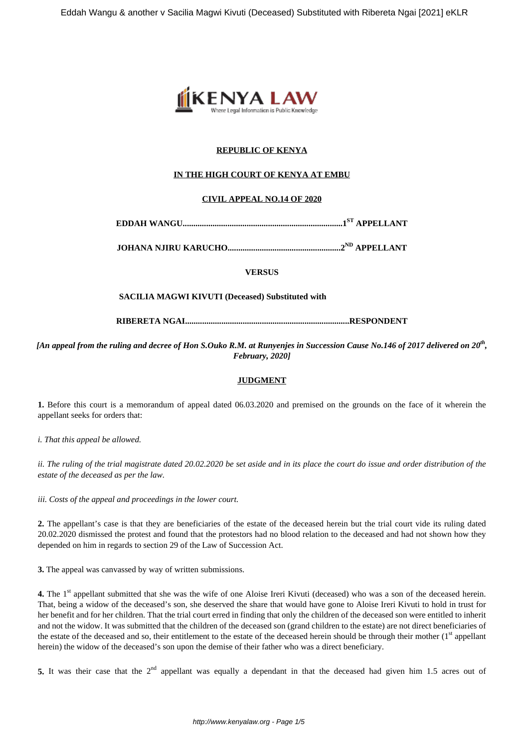

# **REPUBLIC OF KENYA**

# **IN THE HIGH COURT OF KENYA AT EMBU**

### **CIVIL APPEAL NO.14 OF 2020**

**EDDAH WANGU...........................................................................1ST APPELLANT**

**JOHANA NJIRU KARUCHO.....................................................2ND APPELLANT**

**VERSUS**

### **SACILIA MAGWI KIVUTI (Deceased) Substituted with**

**RIBERETA NGAI.............................................................................RESPONDENT**

*[An appeal from the ruling and decree of Hon S.Ouko R.M. at Runyenjes in Succession Cause No.146 of 2017 delivered on 20th , February, 2020]*

### **JUDGMENT**

**1.** Before this court is a memorandum of appeal dated 06.03.2020 and premised on the grounds on the face of it wherein the appellant seeks for orders that:

*i. That this appeal be allowed.*

*ii. The ruling of the trial magistrate dated 20.02.2020 be set aside and in its place the court do issue and order distribution of the estate of the deceased as per the law.*

*iii. Costs of the appeal and proceedings in the lower court.*

**2.** The appellant's case is that they are beneficiaries of the estate of the deceased herein but the trial court vide its ruling dated 20.02.2020 dismissed the protest and found that the protestors had no blood relation to the deceased and had not shown how they depended on him in regards to section 29 of the Law of Succession Act.

**3.** The appeal was canvassed by way of written submissions.

**4.** The 1<sup>st</sup> appellant submitted that she was the wife of one Aloise Ireri Kivuti (deceased) who was a son of the deceased herein. That, being a widow of the deceased's son, she deserved the share that would have gone to Aloise Ireri Kivuti to hold in trust for her benefit and for her children. That the trial court erred in finding that only the children of the deceased son were entitled to inherit and not the widow. It was submitted that the children of the deceased son (grand children to the estate) are not direct beneficiaries of the estate of the deceased and so, their entitlement to the estate of the deceased herein should be through their mother (1<sup>st</sup> appellant herein) the widow of the deceased's son upon the demise of their father who was a direct beneficiary.

5. It was their case that the 2<sup>nd</sup> appellant was equally a dependant in that the deceased had given him 1.5 acres out of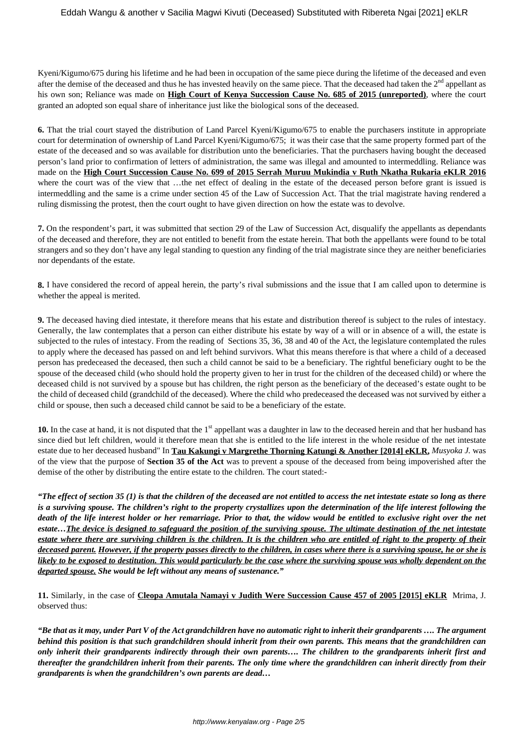Kyeni/Kigumo/675 during his lifetime and he had been in occupation of the same piece during the lifetime of the deceased and even after the demise of the deceased and thus he has invested heavily on the same piece. That the deceased had taken the  $2<sup>nd</sup>$  appellant as his own son; Reliance was made on **High Court of Kenya Succession Cause No. 685 of 2015 (unreported)**, where the court granted an adopted son equal share of inheritance just like the biological sons of the deceased.

**6.** That the trial court stayed the distribution of Land Parcel Kyeni/Kigumo/675 to enable the purchasers institute in appropriate court for determination of ownership of Land Parcel Kyeni/Kigumo/675; it was their case that the same property formed part of the estate of the deceased and so was available for distribution unto the beneficiaries. That the purchasers having bought the deceased person's land prior to confirmation of letters of administration, the same was illegal and amounted to intermeddling. Reliance was made on the **High Court Succession Cause No. 699 of 2015 Serrah Muruu Mukindia v Ruth Nkatha Rukaria eKLR 2016** where the court was of the view that …the net effect of dealing in the estate of the deceased person before grant is issued is intermeddling and the same is a crime under section 45 of the Law of Succession Act. That the trial magistrate having rendered a ruling dismissing the protest, then the court ought to have given direction on how the estate was to devolve.

**7.** On the respondent's part, it was submitted that section 29 of the Law of Succession Act, disqualify the appellants as dependants of the deceased and therefore, they are not entitled to benefit from the estate herein. That both the appellants were found to be total strangers and so they don't have any legal standing to question any finding of the trial magistrate since they are neither beneficiaries nor dependants of the estate.

**8.** I have considered the record of appeal herein, the party's rival submissions and the issue that I am called upon to determine is whether the appeal is merited.

**9.** The deceased having died intestate, it therefore means that his estate and distribution thereof is subject to the rules of intestacy. Generally, the law contemplates that a person can either distribute his estate by way of a will or in absence of a will, the estate is subjected to the rules of intestacy. From the reading of Sections 35, 36, 38 and 40 of the Act, the legislature contemplated the rules to apply where the deceased has passed on and left behind survivors. What this means therefore is that where a child of a deceased person has predeceased the deceased, then such a child cannot be said to be a beneficiary. The rightful beneficiary ought to be the spouse of the deceased child (who should hold the property given to her in trust for the children of the deceased child) or where the deceased child is not survived by a spouse but has children, the right person as the beneficiary of the deceased's estate ought to be the child of deceased child (grandchild of the deceased). Where the child who predeceased the deceased was not survived by either a child or spouse, then such a deceased child cannot be said to be a beneficiary of the estate.

10. In the case at hand, it is not disputed that the 1<sup>st</sup> appellant was a daughter in law to the deceased herein and that her husband has since died but left children, would it therefore mean that she is entitled to the life interest in the whole residue of the net intestate estate due to her deceased husband" In **Tau Kakungi v Margrethe Thorning Katungi & Another [2014] eKLR,** *Musyoka J.* was of the view that the purpose of **Section 35 of the Act** was to prevent a spouse of the deceased from being impoverished after the demise of the other by distributing the entire estate to the children. The court stated:-

*"The effect of section 35 (1) is that the children of the deceased are not entitled to access the net intestate estate so long as there is a surviving spouse. The children's right to the property crystallizes upon the determination of the life interest following the death of the life interest holder or her remarriage. Prior to that, the widow would be entitled to exclusive right over the net estate…The device is designed to safeguard the position of the surviving spouse. The ultimate destination of the net intestate estate where there are surviving children is the children. It is the children who are entitled of right to the property of their deceased parent. However, if the property passes directly to the children, in cases where there is a surviving spouse, he or she is likely to be exposed to destitution. This would particularly be the case where the surviving spouse was wholly dependent on the departed spouse. She would be left without any means of sustenance."* 

**11.** Similarly, in the case of **Cleopa Amutala Namayi v Judith Were Succession Cause 457 of 2005 [2015] eKLR** Mrima, J. observed thus:

*"Be that as it may, under Part V of the Act grandchildren have no automatic right to inherit their grandparents …. The argument behind this position is that such grandchildren should inherit from their own parents. This means that the grandchildren can only inherit their grandparents indirectly through their own parents…. The children to the grandparents inherit first and thereafter the grandchildren inherit from their parents. The only time where the grandchildren can inherit directly from their grandparents is when the grandchildren's own parents are dead…*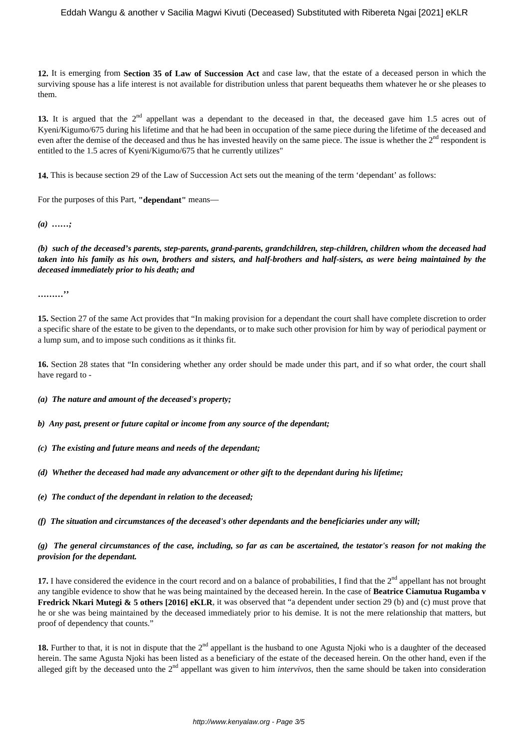### Eddah Wangu & another v Sacilia Magwi Kivuti (Deceased) Substituted with Ribereta Ngai [2021] eKLR

**12.** It is emerging from **Section 35 of Law of Succession Act** and case law, that the estate of a deceased person in which the surviving spouse has a life interest is not available for distribution unless that parent bequeaths them whatever he or she pleases to them.

13. It is argued that the 2<sup>nd</sup> appellant was a dependant to the deceased in that, the deceased gave him 1.5 acres out of Kyeni/Kigumo/675 during his lifetime and that he had been in occupation of the same piece during the lifetime of the deceased and even after the demise of the deceased and thus he has invested heavily on the same piece. The issue is whether the 2<sup>nd</sup> respondent is entitled to the 1.5 acres of Kyeni/Kigumo/675 that he currently utilizes"

**14.** This is because section 29 of the Law of Succession Act sets out the meaning of the term 'dependant' as follows:

For the purposes of this Part, **"dependant"** means—

*(a) ……;*

*(b) such of the deceased's parents, step-parents, grand-parents, grandchildren, step-children, children whom the deceased had taken into his family as his own, brothers and sisters, and half-brothers and half-sisters, as were being maintained by the deceased immediately prior to his death; and*

**………''**

**15.** Section 27 of the same Act provides that "In making provision for a dependant the court shall have complete discretion to order a specific share of the estate to be given to the dependants, or to make such other provision for him by way of periodical payment or a lump sum, and to impose such conditions as it thinks fit.

**16.** Section 28 states that "In considering whether any order should be made under this part, and if so what order, the court shall have regard to -

*(a) The nature and amount of the deceased's property;*

*b) Any past, present or future capital or income from any source of the dependant;*

*(c) The existing and future means and needs of the dependant;*

*(d) Whether the deceased had made any advancement or other gift to the dependant during his lifetime;*

*(e) The conduct of the dependant in relation to the deceased;*

*(f) The situation and circumstances of the deceased's other dependants and the beneficiaries under any will;*

*(g) The general circumstances of the case, including, so far as can be ascertained, the testator's reason for not making the provision for the dependant.*

**17.** I have considered the evidence in the court record and on a balance of probabilities. I find that the  $2<sup>nd</sup>$  appellant has not brought any tangible evidence to show that he was being maintained by the deceased herein. In the case of **Beatrice Ciamutua Rugamba v Fredrick Nkari Mutegi & 5 others [2016] eKLR**, it was observed that "a dependent under section 29 (b) and (c) must prove that he or she was being maintained by the deceased immediately prior to his demise. It is not the mere relationship that matters, but proof of dependency that counts."

**18.** Further to that, it is not in dispute that the 2<sup>nd</sup> appellant is the husband to one Agusta Njoki who is a daughter of the deceased herein. The same Agusta Njoki has been listed as a beneficiary of the estate of the deceased herein. On the other hand, even if the alleged gift by the deceased unto the 2nd appellant was given to him *intervivos*, then the same should be taken into consideration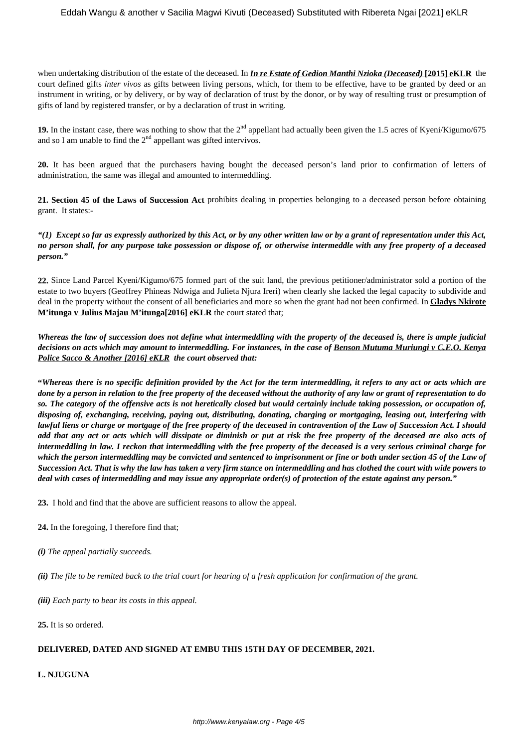when undertaking distribution of the estate of the deceased. In *In re Estate of Gedion Manthi Nzioka (Deceased)* **[2015] eKLR** the court defined gifts *inter vivos* as gifts between living persons, which, for them to be effective, have to be granted by deed or an instrument in writing, or by delivery, or by way of declaration of trust by the donor, or by way of resulting trust or presumption of gifts of land by registered transfer, or by a declaration of trust in writing.

**19.** In the instant case, there was nothing to show that the 2<sup>nd</sup> appellant had actually been given the 1.5 acres of Kyeni/Kigumo/675 and so I am unable to find the  $2<sup>nd</sup>$  appellant was gifted intervivos.

**20.** It has been argued that the purchasers having bought the deceased person's land prior to confirmation of letters of administration, the same was illegal and amounted to intermeddling.

**21. Section 45 of the Laws of Succession Act** prohibits dealing in properties belonging to a deceased person before obtaining grant. It states:-

*"(1) Except so far as expressly authorized by this Act, or by any other written law or by a grant of representation under this Act, no person shall, for any purpose take possession or dispose of, or otherwise intermeddle with any free property of a deceased person."*

**22.** Since Land Parcel Kyeni/Kigumo/675 formed part of the suit land, the previous petitioner/administrator sold a portion of the estate to two buyers (Geoffrey Phineas Ndwiga and Julieta Njura Ireri) when clearly she lacked the legal capacity to subdivide and deal in the property without the consent of all beneficiaries and more so when the grant had not been confirmed. In **Gladys Nkirote M'itunga v Julius Majau M'itunga[2016] eKLR** the court stated that;

*Whereas the law of succession does not define what intermeddling with the property of the deceased is, there is ample judicial decisions on acts which may amount to intermeddling. For instances, in the case of Benson Mutuma Muriungi v C.E.O. Kenya Police Sacco & Another [2016] eKLR the court observed that:*

**"***Whereas there is no specific definition provided by the Act for the term intermeddling, it refers to any act or acts which are done by a person in relation to the free property of the deceased without the authority of any law or grant of representation to do so. The category of the offensive acts is not heretically closed but would certainly include taking possession, or occupation of, disposing of, exchanging, receiving, paying out, distributing, donating, charging or mortgaging, leasing out, interfering with lawful liens or charge or mortgage of the free property of the deceased in contravention of the Law of Succession Act. I should add that any act or acts which will dissipate or diminish or put at risk the free property of the deceased are also acts of intermeddling in law. I reckon that intermeddling with the free property of the deceased is a very serious criminal charge for which the person intermeddling may be convicted and sentenced to imprisonment or fine or both under section 45 of the Law of Succession Act. That is why the law has taken a very firm stance on intermeddling and has clothed the court with wide powers to deal with cases of intermeddling and may issue any appropriate order(s) of protection of the estate against any person."*

**23.** I hold and find that the above are sufficient reasons to allow the appeal.

- **24.** In the foregoing, I therefore find that;
- *(i) The appeal partially succeeds.*

*(ii) The file to be remited back to the trial court for hearing of a fresh application for confirmation of the grant.*

*(iii) Each party to bear its costs in this appeal.*

**25.** It is so ordered.

### **DELIVERED, DATED AND SIGNED AT EMBU THIS 15TH DAY OF DECEMBER, 2021.**

**L. NJUGUNA**